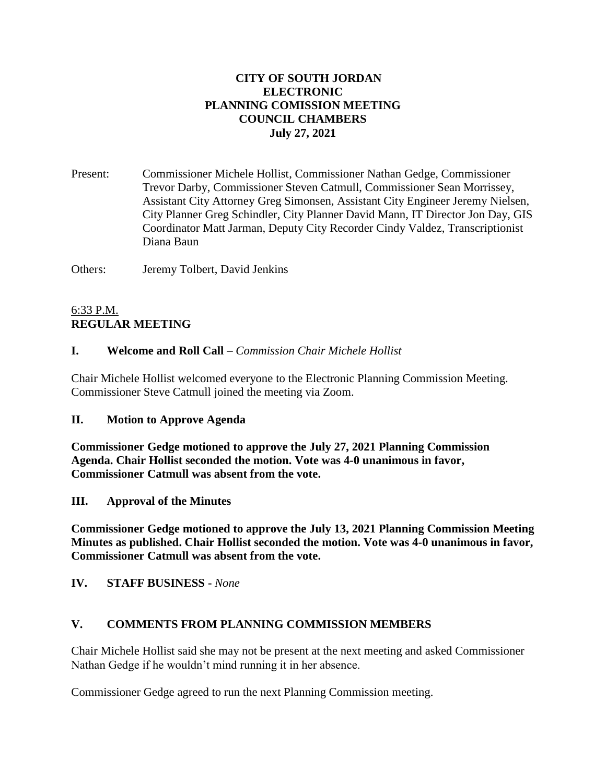## **CITY OF SOUTH JORDAN ELECTRONIC PLANNING COMISSION MEETING COUNCIL CHAMBERS July 27, 2021**

Present: Commissioner Michele Hollist, Commissioner Nathan Gedge, Commissioner Trevor Darby, Commissioner Steven Catmull, Commissioner Sean Morrissey, Assistant City Attorney Greg Simonsen, Assistant City Engineer Jeremy Nielsen, City Planner Greg Schindler, City Planner David Mann, IT Director Jon Day, GIS Coordinator Matt Jarman, Deputy City Recorder Cindy Valdez, Transcriptionist Diana Baun

Others: Jeremy Tolbert, David Jenkins

# 6:33 P.M. **REGULAR MEETING**

## **I. Welcome and Roll Call** – *Commission Chair Michele Hollist*

Chair Michele Hollist welcomed everyone to the Electronic Planning Commission Meeting. Commissioner Steve Catmull joined the meeting via Zoom.

### **II. Motion to Approve Agenda**

**Commissioner Gedge motioned to approve the July 27, 2021 Planning Commission Agenda. Chair Hollist seconded the motion. Vote was 4-0 unanimous in favor, Commissioner Catmull was absent from the vote.**

**III. Approval of the Minutes**

**Commissioner Gedge motioned to approve the July 13, 2021 Planning Commission Meeting Minutes as published. Chair Hollist seconded the motion. Vote was 4-0 unanimous in favor, Commissioner Catmull was absent from the vote.**

**IV. STAFF BUSINESS -** *None*

### **V. COMMENTS FROM PLANNING COMMISSION MEMBERS**

Chair Michele Hollist said she may not be present at the next meeting and asked Commissioner Nathan Gedge if he wouldn't mind running it in her absence.

Commissioner Gedge agreed to run the next Planning Commission meeting.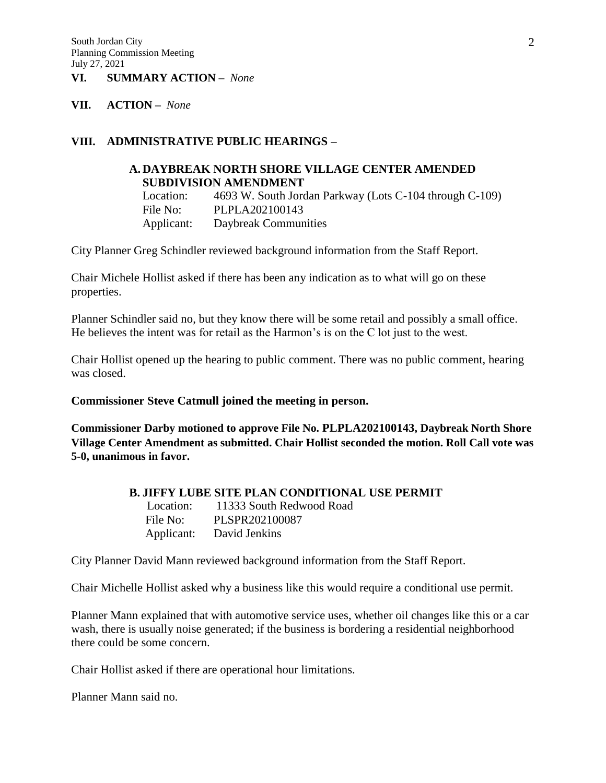### **VI. SUMMARY ACTION –** *None*

#### **VII. ACTION –** *None*

### **VIII. ADMINISTRATIVE PUBLIC HEARINGS –**

### **A. DAYBREAK NORTH SHORE VILLAGE CENTER AMENDED SUBDIVISION AMENDMENT**

Location: 4693 W. South Jordan Parkway (Lots C-104 through C-109) File No: PLPLA202100143 Applicant: Daybreak Communities

City Planner Greg Schindler reviewed background information from the Staff Report.

Chair Michele Hollist asked if there has been any indication as to what will go on these properties.

Planner Schindler said no, but they know there will be some retail and possibly a small office. He believes the intent was for retail as the Harmon's is on the C lot just to the west.

Chair Hollist opened up the hearing to public comment. There was no public comment, hearing was closed.

**Commissioner Steve Catmull joined the meeting in person.**

**Commissioner Darby motioned to approve File No. PLPLA202100143, Daybreak North Shore Village Center Amendment as submitted. Chair Hollist seconded the motion. Roll Call vote was 5-0, unanimous in favor.**

#### **B. JIFFY LUBE SITE PLAN CONDITIONAL USE PERMIT**

Location: 11333 South Redwood Road File No: PLSPR202100087 Applicant: David Jenkins

City Planner David Mann reviewed background information from the Staff Report.

Chair Michelle Hollist asked why a business like this would require a conditional use permit.

Planner Mann explained that with automotive service uses, whether oil changes like this or a car wash, there is usually noise generated; if the business is bordering a residential neighborhood there could be some concern.

Chair Hollist asked if there are operational hour limitations.

Planner Mann said no.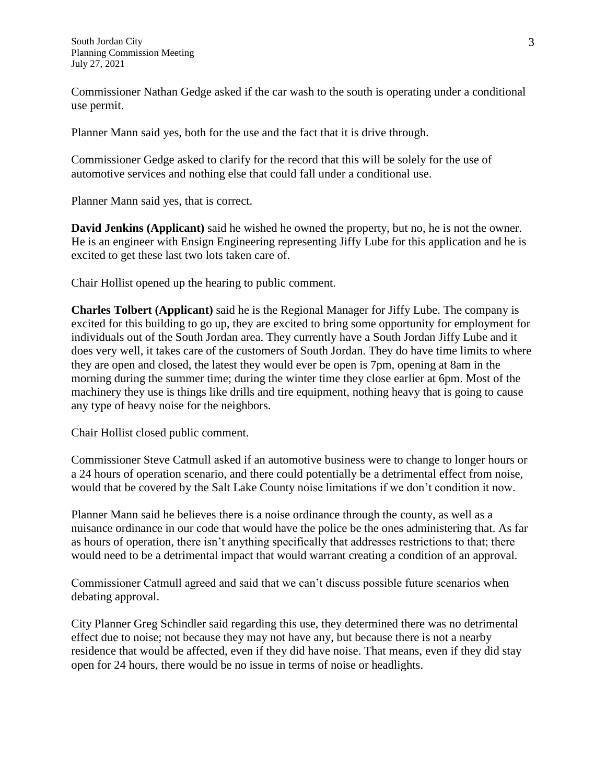Commissioner Nathan Gedge asked if the car wash to the south is operating under a conditional use permit.

Planner Mann said yes, both for the use and the fact that it is drive through.

Commissioner Gedge asked to clarify for the record that this will be solely for the use of automotive services and nothing else that could fall under a conditional use.

Planner Mann said yes, that is correct.

**David Jenkins (Applicant)** said he wished he owned the property, but no, he is not the owner. He is an engineer with Ensign Engineering representing Jiffy Lube for this application and he is excited to get these last two lots taken care of.

Chair Hollist opened up the hearing to public comment.

**Charles Tolbert (Applicant)** said he is the Regional Manager for Jiffy Lube. The company is excited for this building to go up, they are excited to bring some opportunity for employment for individuals out of the South Jordan area. They currently have a South Jordan Jiffy Lube and it does very well, it takes care of the customers of South Jordan. They do have time limits to where they are open and closed, the latest they would ever be open is 7pm, opening at 8am in the morning during the summer time; during the winter time they close earlier at 6pm. Most of the machinery they use is things like drills and tire equipment, nothing heavy that is going to cause any type of heavy noise for the neighbors.

Chair Hollist closed public comment.

Commissioner Steve Catmull asked if an automotive business were to change to longer hours or a 24 hours of operation scenario, and there could potentially be a detrimental effect from noise, would that be covered by the Salt Lake County noise limitations if we don't condition it now.

Planner Mann said he believes there is a noise ordinance through the county, as well as a nuisance ordinance in our code that would have the police be the ones administering that. As far as hours of operation, there isn't anything specifically that addresses restrictions to that; there would need to be a detrimental impact that would warrant creating a condition of an approval.

Commissioner Catmull agreed and said that we can't discuss possible future scenarios when debating approval.

City Planner Greg Schindler said regarding this use, they determined there was no detrimental effect due to noise; not because they may not have any, but because there is not a nearby residence that would be affected, even if they did have noise. That means, even if they did stay open for 24 hours, there would be no issue in terms of noise or headlights.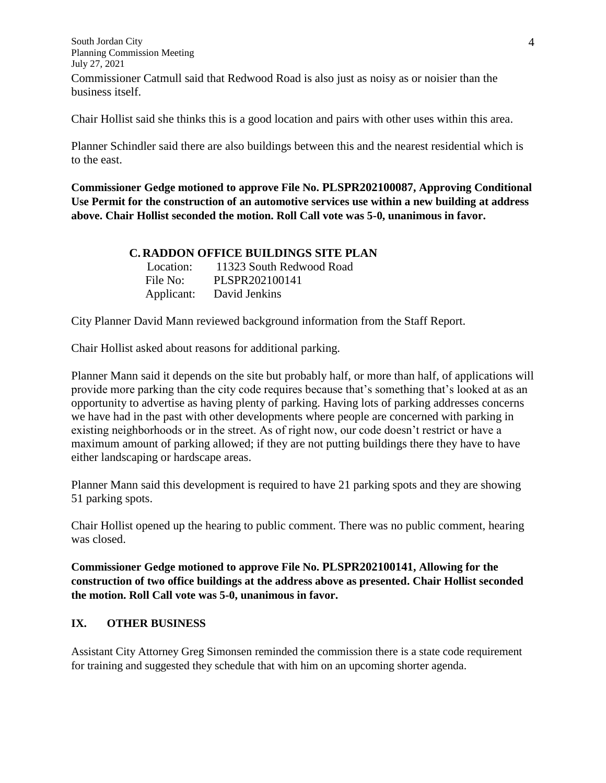South Jordan City Planning Commission Meeting July 27, 2021 Commissioner Catmull said that Redwood Road is also just as noisy as or noisier than the business itself.

Chair Hollist said she thinks this is a good location and pairs with other uses within this area.

Planner Schindler said there are also buildings between this and the nearest residential which is to the east.

**Commissioner Gedge motioned to approve File No. PLSPR202100087, Approving Conditional Use Permit for the construction of an automotive services use within a new building at address above. Chair Hollist seconded the motion. Roll Call vote was 5-0, unanimous in favor.**

### **C. RADDON OFFICE BUILDINGS SITE PLAN**

| Location:  | 11323 South Redwood Road |
|------------|--------------------------|
| File No:   | PLSPR202100141           |
| Applicant: | David Jenkins            |

City Planner David Mann reviewed background information from the Staff Report.

Chair Hollist asked about reasons for additional parking.

Planner Mann said it depends on the site but probably half, or more than half, of applications will provide more parking than the city code requires because that's something that's looked at as an opportunity to advertise as having plenty of parking. Having lots of parking addresses concerns we have had in the past with other developments where people are concerned with parking in existing neighborhoods or in the street. As of right now, our code doesn't restrict or have a maximum amount of parking allowed; if they are not putting buildings there they have to have either landscaping or hardscape areas.

Planner Mann said this development is required to have 21 parking spots and they are showing 51 parking spots.

Chair Hollist opened up the hearing to public comment. There was no public comment, hearing was closed.

**Commissioner Gedge motioned to approve File No. PLSPR202100141, Allowing for the construction of two office buildings at the address above as presented. Chair Hollist seconded the motion. Roll Call vote was 5-0, unanimous in favor.**

### **IX. OTHER BUSINESS**

Assistant City Attorney Greg Simonsen reminded the commission there is a state code requirement for training and suggested they schedule that with him on an upcoming shorter agenda.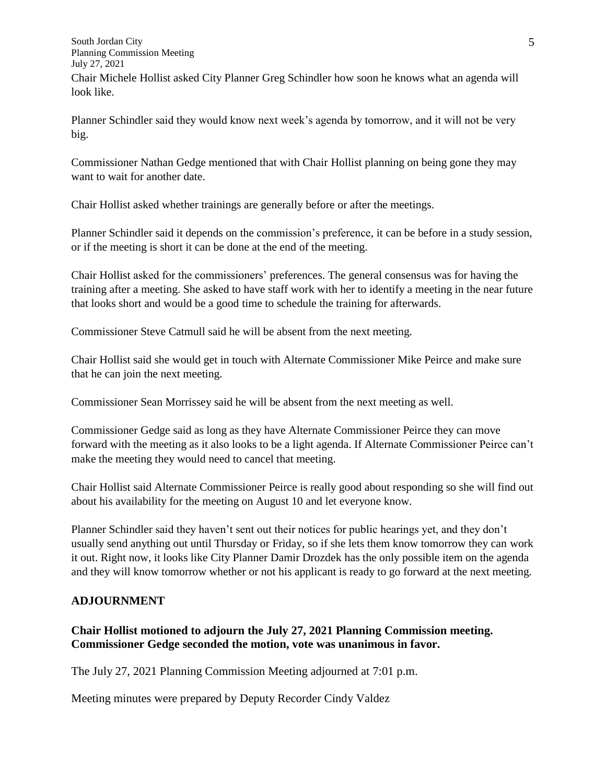South Jordan City Planning Commission Meeting July 27, 2021 Chair Michele Hollist asked City Planner Greg Schindler how soon he knows what an agenda will look like.

Planner Schindler said they would know next week's agenda by tomorrow, and it will not be very big.

Commissioner Nathan Gedge mentioned that with Chair Hollist planning on being gone they may want to wait for another date.

Chair Hollist asked whether trainings are generally before or after the meetings.

Planner Schindler said it depends on the commission's preference, it can be before in a study session, or if the meeting is short it can be done at the end of the meeting.

Chair Hollist asked for the commissioners' preferences. The general consensus was for having the training after a meeting. She asked to have staff work with her to identify a meeting in the near future that looks short and would be a good time to schedule the training for afterwards.

Commissioner Steve Catmull said he will be absent from the next meeting.

Chair Hollist said she would get in touch with Alternate Commissioner Mike Peirce and make sure that he can join the next meeting.

Commissioner Sean Morrissey said he will be absent from the next meeting as well.

Commissioner Gedge said as long as they have Alternate Commissioner Peirce they can move forward with the meeting as it also looks to be a light agenda. If Alternate Commissioner Peirce can't make the meeting they would need to cancel that meeting.

Chair Hollist said Alternate Commissioner Peirce is really good about responding so she will find out about his availability for the meeting on August 10 and let everyone know.

Planner Schindler said they haven't sent out their notices for public hearings yet, and they don't usually send anything out until Thursday or Friday, so if she lets them know tomorrow they can work it out. Right now, it looks like City Planner Damir Drozdek has the only possible item on the agenda and they will know tomorrow whether or not his applicant is ready to go forward at the next meeting.

### **ADJOURNMENT**

## **Chair Hollist motioned to adjourn the July 27, 2021 Planning Commission meeting. Commissioner Gedge seconded the motion, vote was unanimous in favor.**

The July 27, 2021 Planning Commission Meeting adjourned at 7:01 p.m.

Meeting minutes were prepared by Deputy Recorder Cindy Valdez